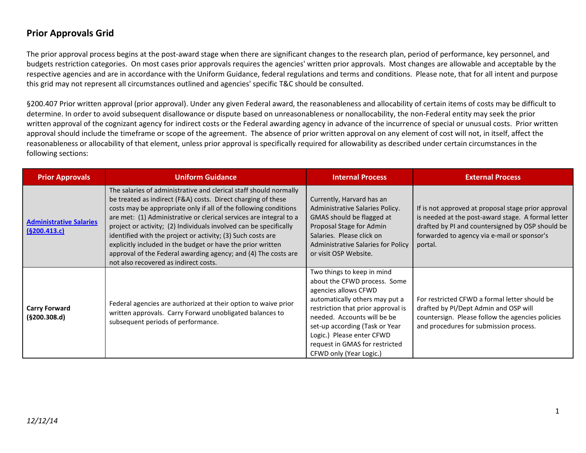The prior approval process begins at the post-award stage when there are significant changes to the research plan, period of performance, key personnel, and budgets restriction categories. On most cases prior approvals requires the agencies' written prior approvals. Most changes are allowable and acceptable by the respective agencies and are in accordance with the Uniform Guidance, federal regulations and terms and conditions. Please note, that for all intent and purpose this grid may not represent all circumstances outlined and agencies' specific T&C should be consulted.

§200.407 Prior written approval (prior approval). Under any given Federal award, the reasonableness and allocability of certain items of costs may be difficult to determine. In order to avoid subsequent disallowance or dispute based on unreasonableness or nonallocability, the non-Federal entity may seek the prior written approval of the cognizant agency for indirect costs or the Federal awarding agency in advance of the incurrence of special or unusual costs. Prior written approval should include the timeframe or scope of the agreement. The absence of prior written approval on any element of cost will not, in itself, affect the reasonableness or allocability of that element, unless prior approval is specifically required for allowability as described under certain circumstances in the following sections:

| <b>Prior Approvals</b>                         | <b>Uniform Guidance</b>                                                                                                                                                                                                                                                                                                                                                                                                                                                                                                                                                                   | <b>Internal Process</b>                                                                                                                                                                                                                                                                                               | <b>External Process</b>                                                                                                                                                                                                 |
|------------------------------------------------|-------------------------------------------------------------------------------------------------------------------------------------------------------------------------------------------------------------------------------------------------------------------------------------------------------------------------------------------------------------------------------------------------------------------------------------------------------------------------------------------------------------------------------------------------------------------------------------------|-----------------------------------------------------------------------------------------------------------------------------------------------------------------------------------------------------------------------------------------------------------------------------------------------------------------------|-------------------------------------------------------------------------------------------------------------------------------------------------------------------------------------------------------------------------|
| <b>Administrative Salaries</b><br>(§200.413.c) | The salaries of administrative and clerical staff should normally<br>be treated as indirect (F&A) costs. Direct charging of these<br>costs may be appropriate only if all of the following conditions<br>are met: (1) Administrative or clerical services are integral to a<br>project or activity; (2) Individuals involved can be specifically<br>identified with the project or activity; (3) Such costs are<br>explicitly included in the budget or have the prior written<br>approval of the Federal awarding agency; and (4) The costs are<br>not also recovered as indirect costs. | Currently, Harvard has an<br>Administrative Salaries Policy.<br>GMAS should be flagged at<br>Proposal Stage for Admin<br>Salaries. Please click on<br>Administrative Salaries for Policy<br>or visit OSP Website.                                                                                                     | If is not approved at proposal stage prior approval<br>is needed at the post-award stage. A formal letter<br>drafted by PI and countersigned by OSP should be<br>forwarded to agency via e-mail or sponsor's<br>portal. |
| <b>Carry Forward</b><br>(§200.308.d)           | Federal agencies are authorized at their option to waive prior<br>written approvals. Carry Forward unobligated balances to<br>subsequent periods of performance.                                                                                                                                                                                                                                                                                                                                                                                                                          | Two things to keep in mind<br>about the CFWD process. Some<br>agencies allows CFWD<br>automatically others may put a<br>restriction that prior approval is<br>needed. Accounts will be be<br>set-up according (Task or Year<br>Logic.) Please enter CFWD<br>request in GMAS for restricted<br>CFWD only (Year Logic.) | For restricted CFWD a formal letter should be<br>drafted by PI/Dept Admin and OSP will<br>countersign. Please follow the agencies policies<br>and procedures for submission process.                                    |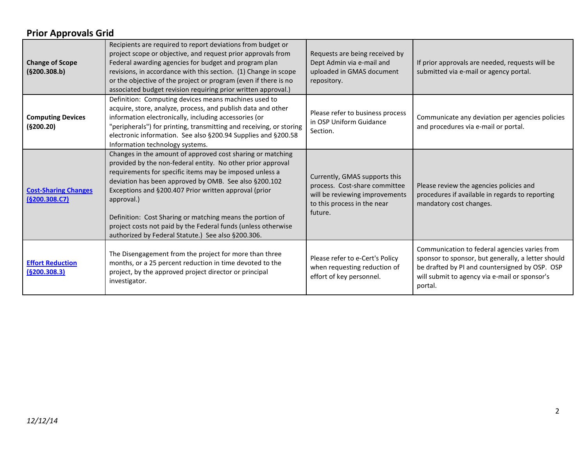| <b>Change of Scope</b><br>(§200.308.b)       | Recipients are required to report deviations from budget or<br>project scope or objective, and request prior approvals from<br>Federal awarding agencies for budget and program plan<br>revisions, in accordance with this section. (1) Change in scope<br>or the objective of the project or program (even if there is no<br>associated budget revision requiring prior written approval.)                                                                                                              | Requests are being received by<br>Dept Admin via e-mail and<br>uploaded in GMAS document<br>repository.                                    | If prior approvals are needed, requests will be<br>submitted via e-mail or agency portal.                                                                                                                         |
|----------------------------------------------|----------------------------------------------------------------------------------------------------------------------------------------------------------------------------------------------------------------------------------------------------------------------------------------------------------------------------------------------------------------------------------------------------------------------------------------------------------------------------------------------------------|--------------------------------------------------------------------------------------------------------------------------------------------|-------------------------------------------------------------------------------------------------------------------------------------------------------------------------------------------------------------------|
| <b>Computing Devices</b><br>(§200.20)        | Definition: Computing devices means machines used to<br>acquire, store, analyze, process, and publish data and other<br>information electronically, including accessories (or<br>"peripherals") for printing, transmitting and receiving, or storing<br>electronic information. See also §200.94 Supplies and §200.58<br>Information technology systems.                                                                                                                                                 | Please refer to business process<br>in OSP Uniform Guidance<br>Section.                                                                    | Communicate any deviation per agencies policies<br>and procedures via e-mail or portal.                                                                                                                           |
| <b>Cost-Sharing Changes</b><br>(§200.308.C7) | Changes in the amount of approved cost sharing or matching<br>provided by the non-federal entity. No other prior approval<br>requirements for specific items may be imposed unless a<br>deviation has been approved by OMB. See also §200.102<br>Exceptions and §200.407 Prior written approval (prior<br>approval.)<br>Definition: Cost Sharing or matching means the portion of<br>project costs not paid by the Federal funds (unless otherwise<br>authorized by Federal Statute.) See also §200.306. | Currently, GMAS supports this<br>process. Cost-share committee<br>will be reviewing improvements<br>to this process in the near<br>future. | Please review the agencies policies and<br>procedures if available in regards to reporting<br>mandatory cost changes.                                                                                             |
| <b>Effort Reduction</b><br>(§200.308.3)      | The Disengagement from the project for more than three<br>months, or a 25 percent reduction in time devoted to the<br>project, by the approved project director or principal<br>investigator.                                                                                                                                                                                                                                                                                                            | Please refer to e-Cert's Policy<br>when requesting reduction of<br>effort of key personnel.                                                | Communication to federal agencies varies from<br>sponsor to sponsor, but generally, a letter should<br>be drafted by PI and countersigned by OSP. OSP<br>will submit to agency via e-mail or sponsor's<br>portal. |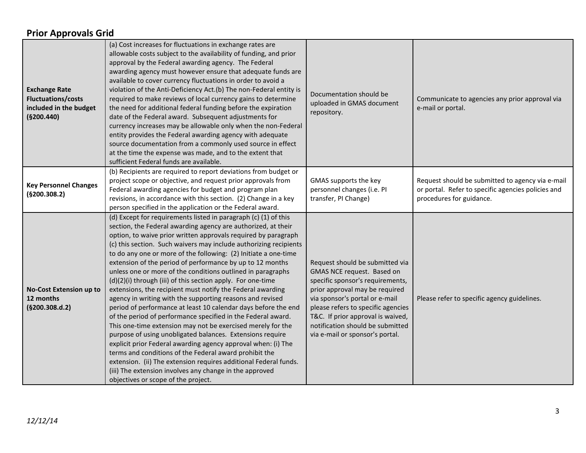| <b>Exchange Rate</b><br><b>Fluctuations/costs</b><br>included in the budget<br>(§200.440) | (a) Cost increases for fluctuations in exchange rates are<br>allowable costs subject to the availability of funding, and prior<br>approval by the Federal awarding agency. The Federal<br>awarding agency must however ensure that adequate funds are<br>available to cover currency fluctuations in order to avoid a<br>violation of the Anti-Deficiency Act.(b) The non-Federal entity is<br>required to make reviews of local currency gains to determine<br>the need for additional federal funding before the expiration<br>date of the Federal award. Subsequent adjustments for<br>currency increases may be allowable only when the non-Federal<br>entity provides the Federal awarding agency with adequate<br>source documentation from a commonly used source in effect<br>at the time the expense was made, and to the extent that<br>sufficient Federal funds are available.                                                                                                                                                                                                                                                                                                                                       | Documentation should be<br>uploaded in GMAS document<br>repository.                                                                                                                                                                                                                                                     | Communicate to agencies any prior approval via<br>e-mail or portal.                                                                |
|-------------------------------------------------------------------------------------------|---------------------------------------------------------------------------------------------------------------------------------------------------------------------------------------------------------------------------------------------------------------------------------------------------------------------------------------------------------------------------------------------------------------------------------------------------------------------------------------------------------------------------------------------------------------------------------------------------------------------------------------------------------------------------------------------------------------------------------------------------------------------------------------------------------------------------------------------------------------------------------------------------------------------------------------------------------------------------------------------------------------------------------------------------------------------------------------------------------------------------------------------------------------------------------------------------------------------------------|-------------------------------------------------------------------------------------------------------------------------------------------------------------------------------------------------------------------------------------------------------------------------------------------------------------------------|------------------------------------------------------------------------------------------------------------------------------------|
| <b>Key Personnel Changes</b><br>(§200.308.2)                                              | (b) Recipients are required to report deviations from budget or<br>project scope or objective, and request prior approvals from<br>Federal awarding agencies for budget and program plan<br>revisions, in accordance with this section. (2) Change in a key<br>person specified in the application or the Federal award.                                                                                                                                                                                                                                                                                                                                                                                                                                                                                                                                                                                                                                                                                                                                                                                                                                                                                                        | GMAS supports the key<br>personnel changes (i.e. PI<br>transfer, PI Change)                                                                                                                                                                                                                                             | Request should be submitted to agency via e-mail<br>or portal. Refer to specific agencies policies and<br>procedures for guidance. |
| No-Cost Extension up to<br>12 months<br>(§200.308.d.2)                                    | (d) Except for requirements listed in paragraph (c) (1) of this<br>section, the Federal awarding agency are authorized, at their<br>option, to waive prior written approvals required by paragraph<br>(c) this section. Such waivers may include authorizing recipients<br>to do any one or more of the following: (2) Initiate a one-time<br>extension of the period of performance by up to 12 months<br>unless one or more of the conditions outlined in paragraphs<br>(d)(2)(i) through (iii) of this section apply. For one-time<br>extensions, the recipient must notify the Federal awarding<br>agency in writing with the supporting reasons and revised<br>period of performance at least 10 calendar days before the end<br>of the period of performance specified in the Federal award.<br>This one-time extension may not be exercised merely for the<br>purpose of using unobligated balances. Extensions require<br>explicit prior Federal awarding agency approval when: (i) The<br>terms and conditions of the Federal award prohibit the<br>extension. (ii) The extension requires additional Federal funds.<br>(iii) The extension involves any change in the approved<br>objectives or scope of the project. | Request should be submitted via<br>GMAS NCE request. Based on<br>specific sponsor's requirements,<br>prior approval may be required<br>via sponsor's portal or e-mail<br>please refers to specific agencies<br>T&C. If prior approval is waived,<br>notification should be submitted<br>via e-mail or sponsor's portal. | Please refer to specific agency guidelines.                                                                                        |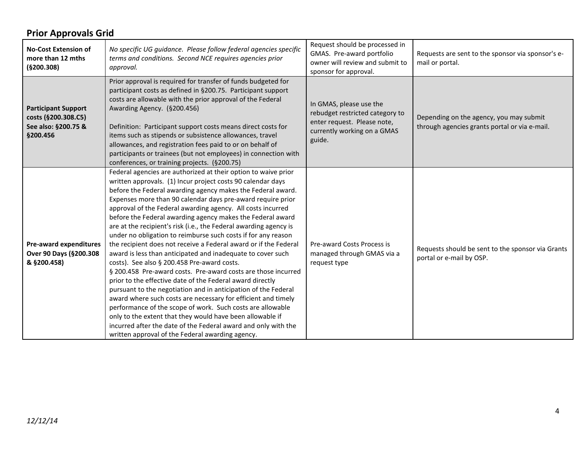| <b>No-Cost Extension of</b><br>more than 12 mths<br>(§200.308)                       | No specific UG guidance. Please follow federal agencies specific<br>terms and conditions. Second NCE requires agencies prior<br>approval.                                                                                                                                                                                                                                                                                                                                                                                                                                                                                                                                                                                                                                                                                                                                                                                                                                                                                                                                                                                                                                                                                          | Request should be processed in<br>GMAS. Pre-award portfolio<br>owner will review and submit to<br>sponsor for approval.            | Requests are sent to the sponsor via sponsor's e-<br>mail or portal.                     |
|--------------------------------------------------------------------------------------|------------------------------------------------------------------------------------------------------------------------------------------------------------------------------------------------------------------------------------------------------------------------------------------------------------------------------------------------------------------------------------------------------------------------------------------------------------------------------------------------------------------------------------------------------------------------------------------------------------------------------------------------------------------------------------------------------------------------------------------------------------------------------------------------------------------------------------------------------------------------------------------------------------------------------------------------------------------------------------------------------------------------------------------------------------------------------------------------------------------------------------------------------------------------------------------------------------------------------------|------------------------------------------------------------------------------------------------------------------------------------|------------------------------------------------------------------------------------------|
| <b>Participant Support</b><br>costs (§200.308.C5)<br>See also: §200.75 &<br>§200.456 | Prior approval is required for transfer of funds budgeted for<br>participant costs as defined in §200.75. Participant support<br>costs are allowable with the prior approval of the Federal<br>Awarding Agency. (§200.456)<br>Definition: Participant support costs means direct costs for<br>items such as stipends or subsistence allowances, travel<br>allowances, and registration fees paid to or on behalf of<br>participants or trainees (but not employees) in connection with<br>conferences, or training projects. (§200.75)                                                                                                                                                                                                                                                                                                                                                                                                                                                                                                                                                                                                                                                                                             | In GMAS, please use the<br>rebudget restricted category to<br>enter request. Please note,<br>currently working on a GMAS<br>guide. | Depending on the agency, you may submit<br>through agencies grants portal or via e-mail. |
| Pre-award expenditures<br>Over 90 Days (§200.308<br>& §200.458)                      | Federal agencies are authorized at their option to waive prior<br>written approvals. (1) Incur project costs 90 calendar days<br>before the Federal awarding agency makes the Federal award.<br>Expenses more than 90 calendar days pre-award require prior<br>approval of the Federal awarding agency. All costs incurred<br>before the Federal awarding agency makes the Federal award<br>are at the recipient's risk (i.e., the Federal awarding agency is<br>under no obligation to reimburse such costs if for any reason<br>the recipient does not receive a Federal award or if the Federal<br>award is less than anticipated and inadequate to cover such<br>costs). See also § 200.458 Pre-award costs.<br>§ 200.458 Pre-award costs. Pre-award costs are those incurred<br>prior to the effective date of the Federal award directly<br>pursuant to the negotiation and in anticipation of the Federal<br>award where such costs are necessary for efficient and timely<br>performance of the scope of work. Such costs are allowable<br>only to the extent that they would have been allowable if<br>incurred after the date of the Federal award and only with the<br>written approval of the Federal awarding agency. | Pre-award Costs Process is<br>managed through GMAS via a<br>request type                                                           | Requests should be sent to the sponsor via Grants<br>portal or e-mail by OSP.            |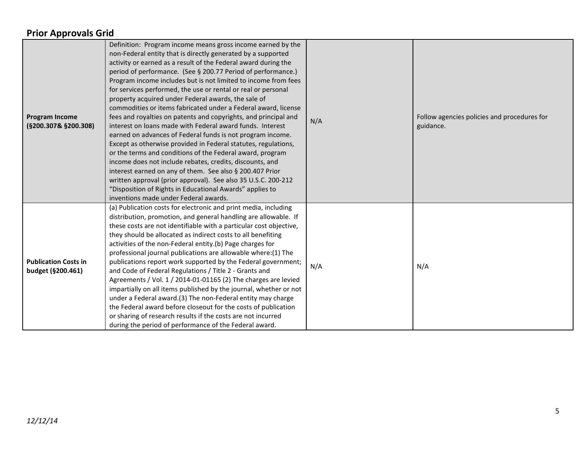| <b>Program Income</b><br>(§200.307& §200.308)    | Definition: Program income means gross income earned by the<br>non-Federal entity that is directly generated by a supported<br>activity or earned as a result of the Federal award during the<br>period of performance. (See § 200.77 Period of performance.)<br>Program income includes but is not limited to income from fees<br>for services performed, the use or rental or real or personal<br>property acquired under Federal awards, the sale of<br>commodities or items fabricated under a Federal award, license<br>fees and royalties on patents and copyrights, and principal and<br>interest on loans made with Federal award funds. Interest<br>earned on advances of Federal funds is not program income.<br>Except as otherwise provided in Federal statutes, regulations,<br>or the terms and conditions of the Federal award, program<br>income does not include rebates, credits, discounts, and<br>interest earned on any of them. See also § 200.407 Prior<br>written approval (prior approval). See also 35 U.S.C. 200-212<br>"Disposition of Rights in Educational Awards" applies to<br>inventions made under Federal awards. | N/A | Follow agencies policies and procedures for<br>guidance. |
|--------------------------------------------------|------------------------------------------------------------------------------------------------------------------------------------------------------------------------------------------------------------------------------------------------------------------------------------------------------------------------------------------------------------------------------------------------------------------------------------------------------------------------------------------------------------------------------------------------------------------------------------------------------------------------------------------------------------------------------------------------------------------------------------------------------------------------------------------------------------------------------------------------------------------------------------------------------------------------------------------------------------------------------------------------------------------------------------------------------------------------------------------------------------------------------------------------------|-----|----------------------------------------------------------|
| <b>Publication Costs in</b><br>budget (§200.461) | (a) Publication costs for electronic and print media, including<br>distribution, promotion, and general handling are allowable. If<br>these costs are not identifiable with a particular cost objective,<br>they should be allocated as indirect costs to all benefiting<br>activities of the non-Federal entity.(b) Page charges for<br>professional journal publications are allowable where:(1) The<br>publications report work supported by the Federal government;<br>and Code of Federal Regulations / Title 2 - Grants and<br>Agreements / Vol. 1 / 2014-01-01165 (2) The charges are levied<br>impartially on all items published by the journal, whether or not<br>under a Federal award.(3) The non-Federal entity may charge<br>the Federal award before closeout for the costs of publication<br>or sharing of research results if the costs are not incurred<br>during the period of performance of the Federal award.                                                                                                                                                                                                                  | N/A | N/A                                                      |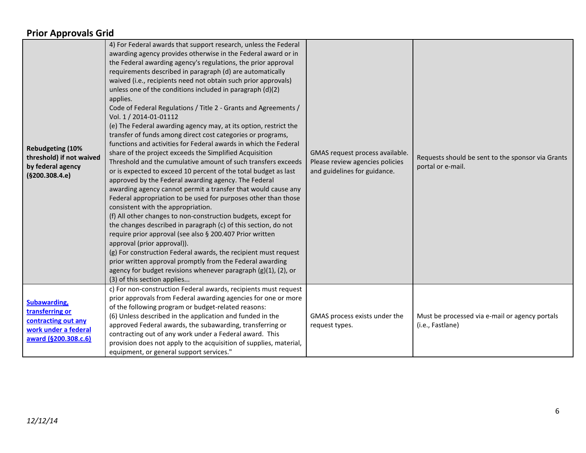| <b>Rebudgeting (10%</b><br>threshold) if not waived<br>by federal agency<br>(§200.308.4.e)             | 4) For Federal awards that support research, unless the Federal<br>awarding agency provides otherwise in the Federal award or in<br>the Federal awarding agency's regulations, the prior approval<br>requirements described in paragraph (d) are automatically<br>waived (i.e., recipients need not obtain such prior approvals)<br>unless one of the conditions included in paragraph (d)(2)<br>applies.<br>Code of Federal Regulations / Title 2 - Grants and Agreements /<br>Vol. 1 / 2014-01-01112<br>(e) The Federal awarding agency may, at its option, restrict the<br>transfer of funds among direct cost categories or programs,<br>functions and activities for Federal awards in which the Federal<br>share of the project exceeds the Simplified Acquisition<br>Threshold and the cumulative amount of such transfers exceeds<br>or is expected to exceed 10 percent of the total budget as last<br>approved by the Federal awarding agency. The Federal<br>awarding agency cannot permit a transfer that would cause any<br>Federal appropriation to be used for purposes other than those<br>consistent with the appropriation.<br>(f) All other changes to non-construction budgets, except for<br>the changes described in paragraph (c) of this section, do not<br>require prior approval (see also § 200.407 Prior written<br>approval (prior approval)).<br>(g) For construction Federal awards, the recipient must request<br>prior written approval promptly from the Federal awarding<br>agency for budget revisions whenever paragraph (g)(1), (2), or<br>(3) of this section applies | GMAS request process available.<br>Please review agencies policies<br>and guidelines for guidance. | Requests should be sent to the sponsor via Grants<br>portal or e-mail. |
|--------------------------------------------------------------------------------------------------------|--------------------------------------------------------------------------------------------------------------------------------------------------------------------------------------------------------------------------------------------------------------------------------------------------------------------------------------------------------------------------------------------------------------------------------------------------------------------------------------------------------------------------------------------------------------------------------------------------------------------------------------------------------------------------------------------------------------------------------------------------------------------------------------------------------------------------------------------------------------------------------------------------------------------------------------------------------------------------------------------------------------------------------------------------------------------------------------------------------------------------------------------------------------------------------------------------------------------------------------------------------------------------------------------------------------------------------------------------------------------------------------------------------------------------------------------------------------------------------------------------------------------------------------------------------------------------------------------------------------|----------------------------------------------------------------------------------------------------|------------------------------------------------------------------------|
| Subawarding,<br>transferring or<br>contracting out any<br>work under a federal<br>award (§200.308.c.6) | c) For non-construction Federal awards, recipients must request<br>prior approvals from Federal awarding agencies for one or more<br>of the following program or budget-related reasons:<br>(6) Unless described in the application and funded in the<br>approved Federal awards, the subawarding, transferring or<br>contracting out of any work under a Federal award. This<br>provision does not apply to the acquisition of supplies, material,<br>equipment, or general support services."                                                                                                                                                                                                                                                                                                                                                                                                                                                                                                                                                                                                                                                                                                                                                                                                                                                                                                                                                                                                                                                                                                              | GMAS process exists under the<br>request types.                                                    | Must be processed via e-mail or agency portals<br>(i.e., Fastlane)     |